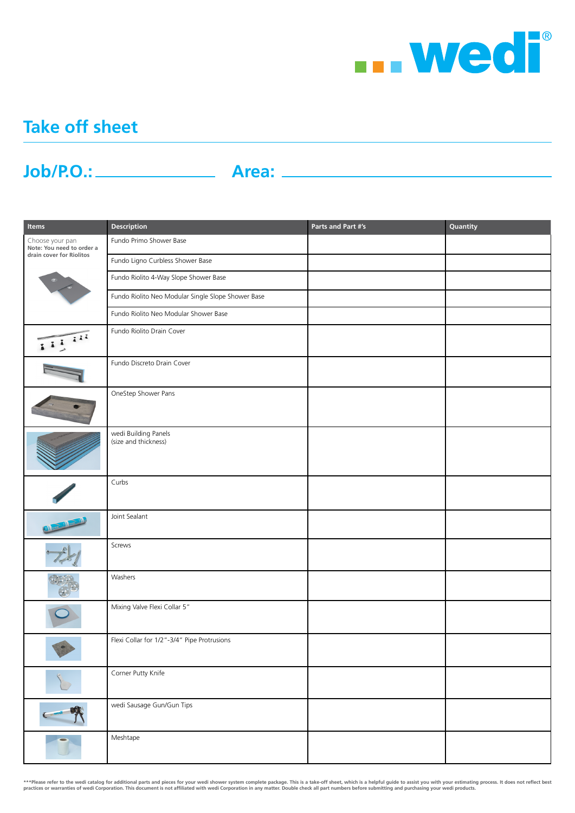

## **Take off sheet**

## **Job/P.O.: Area:**

| Items                                                                    | <b>Description</b>                                 | Parts and Part #'s | Quantity |
|--------------------------------------------------------------------------|----------------------------------------------------|--------------------|----------|
| Choose your pan<br>Note: You need to order a<br>drain cover for Riolitos | Fundo Primo Shower Base                            |                    |          |
|                                                                          | Fundo Ligno Curbless Shower Base                   |                    |          |
|                                                                          | Fundo Riolito 4-Way Slope Shower Base              |                    |          |
|                                                                          | Fundo Riolito Neo Modular Single Slope Shower Base |                    |          |
|                                                                          | Fundo Riolito Neo Modular Shower Base              |                    |          |
| 1111                                                                     | Fundo Riolito Drain Cover                          |                    |          |
|                                                                          | Fundo Discreto Drain Cover                         |                    |          |
|                                                                          | OneStep Shower Pans                                |                    |          |
|                                                                          | wedi Building Panels<br>(size and thickness)       |                    |          |
|                                                                          | Curbs                                              |                    |          |
|                                                                          | Joint Sealant                                      |                    |          |
|                                                                          | Screws                                             |                    |          |
|                                                                          | Washers                                            |                    |          |
|                                                                          | Mixing Valve Flexi Collar 5"                       |                    |          |
|                                                                          | Flexi Collar for 1/2"-3/4" Pipe Protrusions        |                    |          |
|                                                                          | Corner Putty Knife                                 |                    |          |
| C  wedi                                                                  | wedi Sausage Gun/Gun Tips                          |                    |          |
|                                                                          | Meshtape                                           |                    |          |

\*\*\*Please refer to the wedi catalog for additional parts and pieces for your wedi shower system complete package. This is a take-off sheet, which is a helpful guide to assist you with your estimating process. It does not r